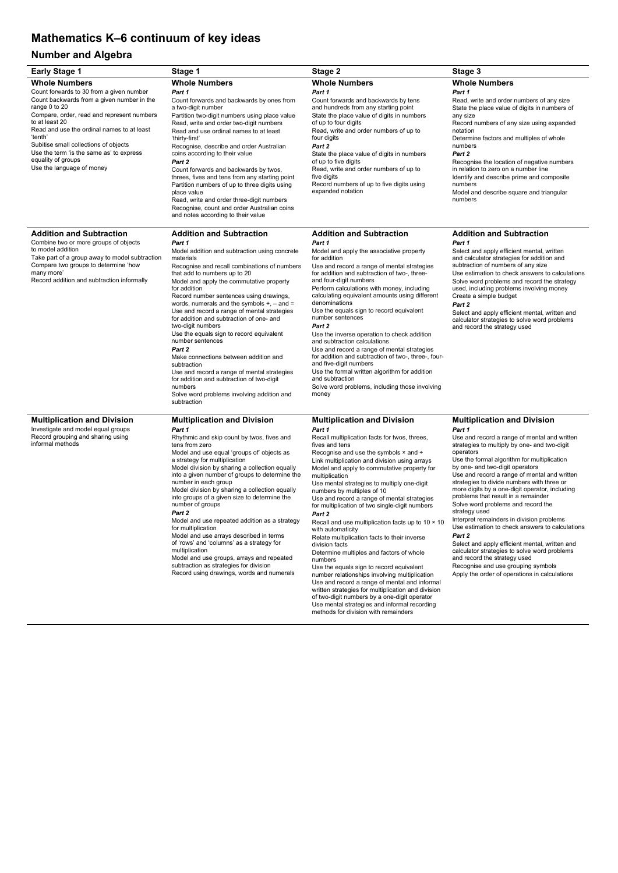## **Mathematics K–6 continuum of key ideas**

## **Number and Algebra**

| <b>Early Stage 1</b>                                                                                                                                                                                                                                                                                                                                                                                                                | Stage 1                                                                                                                                                                                                                                                                                                                                                                                                                                                                                                                                                                                                                                                                                                                                                                      | Stage 2                                                                                                                                                                                                                                                                                                                                                                                                                                                                                                                                                                                                                                                                                                                                                                                                                                                                                                                                                                                                                  | Stage 3                                                                                                                                                                                                                                                                                                                                                                                                                                                                                                                                                                                                                                                                                                                                                                                                                      |
|-------------------------------------------------------------------------------------------------------------------------------------------------------------------------------------------------------------------------------------------------------------------------------------------------------------------------------------------------------------------------------------------------------------------------------------|------------------------------------------------------------------------------------------------------------------------------------------------------------------------------------------------------------------------------------------------------------------------------------------------------------------------------------------------------------------------------------------------------------------------------------------------------------------------------------------------------------------------------------------------------------------------------------------------------------------------------------------------------------------------------------------------------------------------------------------------------------------------------|--------------------------------------------------------------------------------------------------------------------------------------------------------------------------------------------------------------------------------------------------------------------------------------------------------------------------------------------------------------------------------------------------------------------------------------------------------------------------------------------------------------------------------------------------------------------------------------------------------------------------------------------------------------------------------------------------------------------------------------------------------------------------------------------------------------------------------------------------------------------------------------------------------------------------------------------------------------------------------------------------------------------------|------------------------------------------------------------------------------------------------------------------------------------------------------------------------------------------------------------------------------------------------------------------------------------------------------------------------------------------------------------------------------------------------------------------------------------------------------------------------------------------------------------------------------------------------------------------------------------------------------------------------------------------------------------------------------------------------------------------------------------------------------------------------------------------------------------------------------|
| <b>Whole Numbers</b><br>Count forwards to 30 from a given number<br>Count backwards from a given number in the<br>range 0 to 20<br>Compare, order, read and represent numbers<br>to at least 20<br>Read and use the ordinal names to at least<br>'tenth'<br>Subitise small collections of objects<br>Use the term 'is the same as' to express<br>equality of groups<br>Use the language of money<br><b>Addition and Subtraction</b> | <b>Whole Numbers</b><br>Part 1<br>Count forwards and backwards by ones from<br>a two-digit number<br>Partition two-digit numbers using place value<br>Read, write and order two-digit numbers<br>Read and use ordinal names to at least<br>'thirty-first'<br>Recognise, describe and order Australian<br>coins according to their value<br>Part 2<br>Count forwards and backwards by twos,<br>threes, fives and tens from any starting point<br>Partition numbers of up to three digits using<br>place value<br>Read, write and order three-digit numbers<br>Recognise, count and order Australian coins<br>and notes according to their value<br><b>Addition and Subtraction</b>                                                                                            | <b>Whole Numbers</b><br>Part 1<br>Count forwards and backwards by tens<br>and hundreds from any starting point<br>State the place value of digits in numbers<br>of up to four digits<br>Read, write and order numbers of up to<br>four digits<br>Part 2<br>State the place value of digits in numbers<br>of up to five digits<br>Read, write and order numbers of up to<br>five digits<br>Record numbers of up to five digits using<br>expanded notation<br><b>Addition and Subtraction</b>                                                                                                                                                                                                                                                                                                                                                                                                                                                                                                                              | <b>Whole Numbers</b><br>Part 1<br>Read, write and order numbers of any size<br>State the place value of digits in numbers of<br>any size<br>Record numbers of any size using expanded<br>notation<br>Determine factors and multiples of whole<br>numbers<br>Part 2<br>Recognise the location of negative numbers<br>in relation to zero on a number line<br>Identify and describe prime and composite<br>numbers<br>Model and describe square and triangular<br>numbers<br><b>Addition and Subtraction</b>                                                                                                                                                                                                                                                                                                                   |
| Combine two or more groups of objects<br>to model addition<br>Take part of a group away to model subtraction<br>Compare two groups to determine 'how<br>many more'<br>Record addition and subtraction informally                                                                                                                                                                                                                    | Part 1<br>Model addition and subtraction using concrete<br>materials<br>Recognise and recall combinations of numbers<br>that add to numbers up to 20<br>Model and apply the commutative property<br>for addition<br>Record number sentences using drawings,<br>words, numerals and the symbols $+$ , $-$ and $=$<br>Use and record a range of mental strategies<br>for addition and subtraction of one- and<br>two-digit numbers<br>Use the equals sign to record equivalent<br>number sentences<br>Part 2<br>Make connections between addition and<br>subtraction<br>Use and record a range of mental strategies<br>for addition and subtraction of two-digit<br>numbers<br>Solve word problems involving addition and<br>subtraction                                       | Part 1<br>Model and apply the associative property<br>for addition<br>Use and record a range of mental strategies<br>for addition and subtraction of two-, three-<br>and four-digit numbers<br>Perform calculations with money, including<br>calculating equivalent amounts using different<br>denominations<br>Use the equals sign to record equivalent<br>number sentences<br>Part 2<br>Use the inverse operation to check addition<br>and subtraction calculations<br>Use and record a range of mental strategies<br>for addition and subtraction of two-, three-, four-<br>and five-digit numbers<br>Use the formal written algorithm for addition<br>and subtraction<br>Solve word problems, including those involving<br>money                                                                                                                                                                                                                                                                                     | Part 1<br>Select and apply efficient mental, written<br>and calculator strategies for addition and<br>subtraction of numbers of any size<br>Use estimation to check answers to calculations<br>Solve word problems and record the strategy<br>used, including problems involving money<br>Create a simple budget<br>Part 2<br>Select and apply efficient mental, written and<br>calculator strategies to solve word problems<br>and record the strategy used                                                                                                                                                                                                                                                                                                                                                                 |
| <b>Multiplication and Division</b><br>Investigate and model equal groups<br>Record grouping and sharing using<br>informal methods                                                                                                                                                                                                                                                                                                   | <b>Multiplication and Division</b><br>Part 1<br>Rhythmic and skip count by twos, fives and<br>tens from zero<br>Model and use equal 'groups of' objects as<br>a strategy for multiplication<br>Model division by sharing a collection equally<br>into a given number of groups to determine the<br>number in each group<br>Model division by sharing a collection equally<br>into groups of a given size to determine the<br>number of groups<br>Part 2<br>Model and use repeated addition as a strategy<br>for multiplication<br>Model and use arrays described in terms<br>of 'rows' and 'columns' as a strategy for<br>multiplication<br>Model and use groups, arrays and repeated<br>subtraction as strategies for division<br>Record using drawings, words and numerals | <b>Multiplication and Division</b><br>Part 1<br>Recall multiplication facts for twos, threes,<br>fives and tens<br>Recognise and use the symbols x and ÷<br>Link multiplication and division using arrays<br>Model and apply to commutative property for<br>multiplication<br>Use mental strategies to multiply one-digit<br>numbers by multiples of 10<br>Use and record a range of mental strategies<br>for multiplication of two single-digit numbers<br>Part 2<br>Recall and use multiplication facts up to $10 \times 10$<br>with automaticity<br>Relate multiplication facts to their inverse<br>division facts<br>Determine multiples and factors of whole<br>numbers<br>Use the equals sign to record equivalent<br>number relationships involving multiplication<br>Use and record a range of mental and informal<br>written strategies for multiplication and division<br>of two-digit numbers by a one-digit operator<br>Use mental strategies and informal recording<br>methods for division with remainders | <b>Multiplication and Division</b><br>Part 1<br>Use and record a range of mental and written<br>strategies to multiply by one- and two-digit<br>operators<br>Use the formal algorithm for multiplication<br>by one- and two-digit operators<br>Use and record a range of mental and written<br>strategies to divide numbers with three or<br>more digits by a one-digit operator, including<br>problems that result in a remainder<br>Solve word problems and record the<br>strategy used<br>Interpret remainders in division problems<br>Use estimation to check answers to calculations<br>Part 2<br>Select and apply efficient mental, written and<br>calculator strategies to solve word problems<br>and record the strategy used<br>Recognise and use grouping symbols<br>Apply the order of operations in calculations |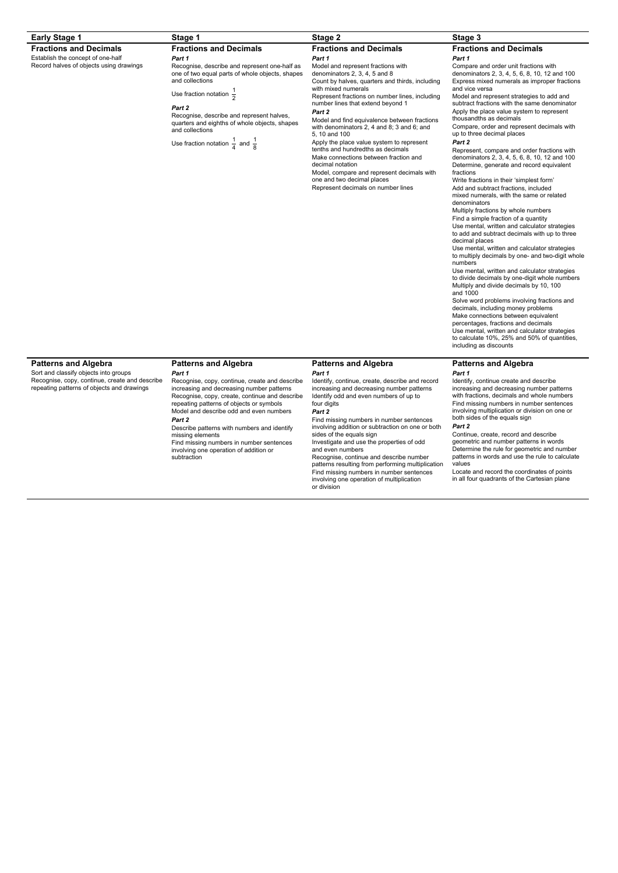| <b>Early Stage 1</b>                                                                                                                                                 | Stage 1                                                                                                                                                                                                                                                                                                                                                                                   | <b>Stage 2</b>                                                                                                                                                                                                                                                                                                                                                                                                                                                                                                                                                                                                                                                            | Stage 3                                                                                                                                                                                                                                                                                                                                                                                                                                                                                                                                                                                                                                                                                                                                                                                                                                                                                                                                                                                                                                                                                                                                                                                                                                                                                                                                                                                                                                                                                                                                            |
|----------------------------------------------------------------------------------------------------------------------------------------------------------------------|-------------------------------------------------------------------------------------------------------------------------------------------------------------------------------------------------------------------------------------------------------------------------------------------------------------------------------------------------------------------------------------------|---------------------------------------------------------------------------------------------------------------------------------------------------------------------------------------------------------------------------------------------------------------------------------------------------------------------------------------------------------------------------------------------------------------------------------------------------------------------------------------------------------------------------------------------------------------------------------------------------------------------------------------------------------------------------|----------------------------------------------------------------------------------------------------------------------------------------------------------------------------------------------------------------------------------------------------------------------------------------------------------------------------------------------------------------------------------------------------------------------------------------------------------------------------------------------------------------------------------------------------------------------------------------------------------------------------------------------------------------------------------------------------------------------------------------------------------------------------------------------------------------------------------------------------------------------------------------------------------------------------------------------------------------------------------------------------------------------------------------------------------------------------------------------------------------------------------------------------------------------------------------------------------------------------------------------------------------------------------------------------------------------------------------------------------------------------------------------------------------------------------------------------------------------------------------------------------------------------------------------------|
| <b>Fractions and Decimals</b><br>Establish the concept of one-half<br>Record halves of objects using drawings                                                        | <b>Fractions and Decimals</b><br>Part 1<br>Recognise, describe and represent one-half as<br>one of two equal parts of whole objects, shapes<br>and collections<br>Use fraction notation $\frac{1}{2}$<br>Part 2<br>Recognise, describe and represent halves.<br>quarters and eighths of whole objects, shapes<br>and collections<br>Use fraction notation $\frac{1}{4}$ and $\frac{1}{8}$ | <b>Fractions and Decimals</b><br>Part 1<br>Model and represent fractions with<br>denominators 2, 3, 4, 5 and 8<br>Count by halves, quarters and thirds, including<br>with mixed numerals<br>Represent fractions on number lines, including<br>number lines that extend beyond 1<br>Part 2<br>Model and find equivalence between fractions<br>with denominators 2, 4 and 8; 3 and 6; and<br>5, 10 and 100<br>Apply the place value system to represent<br>tenths and hundredths as decimals<br>Make connections between fraction and<br>decimal notation<br>Model, compare and represent decimals with<br>one and two decimal places<br>Represent decimals on number lines | <b>Fractions and Decimals</b><br>Part 1<br>Compare and order unit fractions with<br>denominators 2, 3, 4, 5, 6, 8, 10, 12 and 100<br>Express mixed numerals as improper fractions<br>and vice versa<br>Model and represent strategies to add and<br>subtract fractions with the same denominator<br>Apply the place value system to represent<br>thousandths as decimals<br>Compare, order and represent decimals with<br>up to three decimal places<br>Part 2<br>Represent, compare and order fractions with<br>denominators 2, 3, 4, 5, 6, 8, 10, 12 and 100<br>Determine, generate and record equivalent<br>fractions<br>Write fractions in their 'simplest form'<br>Add and subtract fractions, included<br>mixed numerals, with the same or related<br>denominators<br>Multiply fractions by whole numbers<br>Find a simple fraction of a quantity<br>Use mental, written and calculator strategies<br>to add and subtract decimals with up to three<br>decimal places<br>Use mental, written and calculator strategies<br>to multiply decimals by one- and two-digit whole<br>numbers<br>Use mental, written and calculator strategies<br>to divide decimals by one-digit whole numbers<br>Multiply and divide decimals by 10, 100<br>and 1000<br>Solve word problems involving fractions and<br>decimals, including money problems<br>Make connections between equivalent<br>percentages, fractions and decimals<br>Use mental, written and calculator strategies<br>to calculate 10%, 25% and 50% of quantities,<br>including as discounts |
| <b>Patterns and Algebra</b><br>Sort and classify objects into groups<br>Recognise, copy, continue, create and describe<br>repeating patterns of objects and drawings | <b>Patterns and Algebra</b><br>Part 1<br>Recognise, copy, continue, create and describe<br>increasing and decreasing number patterns<br>Recognise, copy, create, continue and describe<br>repeating patterns of objects or symbols<br>Model and describe odd and even numbers                                                                                                             | <b>Patterns and Algebra</b><br>Part 1<br>Identify, continue, create, describe and record<br>increasing and decreasing number patterns<br>Identify odd and even numbers of up to<br>four digits<br>Part 2                                                                                                                                                                                                                                                                                                                                                                                                                                                                  | <b>Patterns and Algebra</b><br>Part 1<br>Identify, continue create and describe<br>increasing and decreasing number patterns<br>with fractions, decimals and whole numbers<br>Find missing numbers in number sentences<br>involving multiplication or division on one or                                                                                                                                                                                                                                                                                                                                                                                                                                                                                                                                                                                                                                                                                                                                                                                                                                                                                                                                                                                                                                                                                                                                                                                                                                                                           |
|                                                                                                                                                                      | Part 2<br>Describe patterns with numbers and identify<br>missing elements<br>Find missing numbers in number sentences<br>involving one operation of addition or                                                                                                                                                                                                                           | Find missing numbers in number sentences<br>involving addition or subtraction on one or both<br>sides of the equals sign<br>Investigate and use the properties of odd<br>and even numbers                                                                                                                                                                                                                                                                                                                                                                                                                                                                                 | both sides of the equals sign<br>Part 2<br>Continue, create, record and describe<br>geometric and number patterns in words<br>Determine the rule for geometric and number                                                                                                                                                                                                                                                                                                                                                                                                                                                                                                                                                                                                                                                                                                                                                                                                                                                                                                                                                                                                                                                                                                                                                                                                                                                                                                                                                                          |

nvolving on<br>subtraction

Recognise, continue and describe number patterns resulting from performing multiplication Find missing numbers in number sentences involving one operation of multiplication or division

Determine the rule for geometric and number patterns in words and use the rule to calculate values

Locate and record the coordinates of points in all four quadrants of the Cartesian plane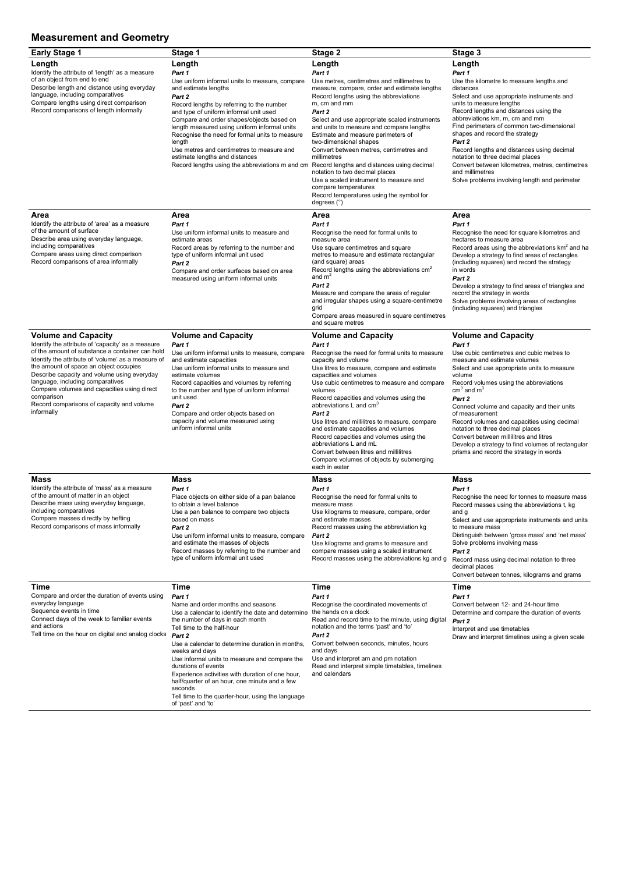## **Measurement and Geometry**

| <b>Early Stage 1</b>                                                                                                                                                                                                                                                                                                                                                                                                                          | Stage 1                                                                                                                                                                                                                                                                                                                                                                                                                                                                                | Stage 2                                                                                                                                                                                                                                                                                                                                                                                                                                                                                                                                                                                                                  | Stage 3                                                                                                                                                                                                                                                                                                                                                                                                                                                                                                                                        |
|-----------------------------------------------------------------------------------------------------------------------------------------------------------------------------------------------------------------------------------------------------------------------------------------------------------------------------------------------------------------------------------------------------------------------------------------------|----------------------------------------------------------------------------------------------------------------------------------------------------------------------------------------------------------------------------------------------------------------------------------------------------------------------------------------------------------------------------------------------------------------------------------------------------------------------------------------|--------------------------------------------------------------------------------------------------------------------------------------------------------------------------------------------------------------------------------------------------------------------------------------------------------------------------------------------------------------------------------------------------------------------------------------------------------------------------------------------------------------------------------------------------------------------------------------------------------------------------|------------------------------------------------------------------------------------------------------------------------------------------------------------------------------------------------------------------------------------------------------------------------------------------------------------------------------------------------------------------------------------------------------------------------------------------------------------------------------------------------------------------------------------------------|
| Length<br>Identify the attribute of 'length' as a measure<br>of an object from end to end<br>Describe length and distance using everyday<br>language, including comparatives<br>Compare lengths using direct comparison<br>Record comparisons of length informally                                                                                                                                                                            | Length<br>Part 1<br>Use uniform informal units to measure, compare<br>and estimate lengths<br>Part 2<br>Record lengths by referring to the number<br>and type of uniform informal unit used<br>Compare and order shapes/objects based on<br>length measured using uniform informal units<br>Recognise the need for formal units to measure<br>length<br>Use metres and centimetres to measure and<br>estimate lengths and distances<br>Record lengths using the abbreviations m and cm | Length<br>Part 1<br>Use metres, centimetres and millimetres to<br>measure, compare, order and estimate lengths<br>Record lengths using the abbreviations<br>m, cm and mm<br>Part 2<br>Select and use appropriate scaled instruments<br>and units to measure and compare lengths<br>Estimate and measure perimeters of<br>two-dimensional shapes<br>Convert between metres, centimetres and<br>millimetres<br>Record lengths and distances using decimal<br>notation to two decimal places<br>Use a scaled instrument to measure and<br>compare temperatures<br>Record temperatures using the symbol for<br>degrees $(°)$ | Length<br>Part 1<br>Use the kilometre to measure lengths and<br>distances<br>Select and use appropriate instruments and<br>units to measure lengths<br>Record lengths and distances using the<br>abbreviations km, m, cm and mm<br>Find perimeters of common two-dimensional<br>shapes and record the strategy<br>Part 2<br>Record lengths and distances using decimal<br>notation to three decimal places<br>Convert between kilometres, metres, centimetres<br>and millimetres<br>Solve problems involving length and perimeter              |
| Area<br>Identify the attribute of 'area' as a measure<br>of the amount of surface<br>Describe area using everyday language,<br>including comparatives<br>Compare areas using direct comparison<br>Record comparisons of area informally                                                                                                                                                                                                       | Area<br>Part 1<br>Use uniform informal units to measure and<br>estimate areas<br>Record areas by referring to the number and<br>type of uniform informal unit used<br>Part 2<br>Compare and order surfaces based on area<br>measured using uniform informal units                                                                                                                                                                                                                      | Area<br>Part 1<br>Recognise the need for formal units to<br>measure area<br>Use square centimetres and square<br>metres to measure and estimate rectangular<br>(and square) areas<br>Record lengths using the abbreviations $cm2$<br>and $m2$<br>Part 2<br>Measure and compare the areas of regular<br>and irregular shapes using a square-centimetre<br>grid<br>Compare areas measured in square centimetres<br>and square metres                                                                                                                                                                                       | <b>Area</b><br>Part 1<br>Recognise the need for square kilometres and<br>hectares to measure area<br>Record areas using the abbreviations km <sup>2</sup> and ha<br>Develop a strategy to find areas of rectangles<br>(including squares) and record the strategy<br>in words<br>Part 2<br>Develop a strategy to find areas of triangles and<br>record the strategy in words<br>Solve problems involving areas of rectangles<br>(including squares) and triangles                                                                              |
| <b>Volume and Capacity</b><br>Identify the attribute of 'capacity' as a measure<br>of the amount of substance a container can hold<br>Identify the attribute of 'volume' as a measure of<br>the amount of space an object occupies<br>Describe capacity and volume using everyday<br>language, including comparatives<br>Compare volumes and capacities using direct<br>comparison<br>Record comparisons of capacity and volume<br>informally | <b>Volume and Capacity</b><br>Part 1<br>Use uniform informal units to measure, compare<br>and estimate capacities<br>Use uniform informal units to measure and<br>estimate volumes<br>Record capacities and volumes by referring<br>to the number and type of uniform informal<br>unit used<br>Part 2<br>Compare and order objects based on<br>capacity and volume measured using<br>uniform informal units                                                                            | <b>Volume and Capacity</b><br>Part 1<br>Recognise the need for formal units to measure<br>capacity and volume<br>Use litres to measure, compare and estimate<br>capacities and volumes<br>Use cubic centimetres to measure and compare<br>volumes<br>Record capacities and volumes using the<br>abbreviations L and cm <sup>3</sup><br>Part 2<br>Use litres and millilitres to measure, compare<br>and estimate capacities and volumes<br>Record capacities and volumes using the<br>abbreviations L and mL<br>Convert between litres and millilitres<br>Compare volumes of objects by submerging<br>each in water       | <b>Volume and Capacity</b><br>Part 1<br>Use cubic centimetres and cubic metres to<br>measure and estimate volumes<br>Select and use appropriate units to measure<br>volume<br>Record volumes using the abbreviations<br>$cm3$ and $m3$<br>Part 2<br>Connect volume and capacity and their units<br>of measurement<br>Record volumes and capacities using decimal<br>notation to three decimal places<br>Convert between millilitres and litres<br>Develop a strategy to find volumes of rectangular<br>prisms and record the strategy in words |
| <b>Mass</b><br>Identify the attribute of 'mass' as a measure<br>of the amount of matter in an object<br>Describe mass using everyday language,<br>including comparatives<br>Compare masses directly by hefting<br>Record comparisons of mass informally                                                                                                                                                                                       | <b>Mass</b><br>Part 1<br>Place objects on either side of a pan balance<br>to obtain a level balance<br>Use a pan balance to compare two objects<br>based on mass<br>Part 2<br>Use uniform informal units to measure, compare<br>and estimate the masses of objects<br>Record masses by referring to the number and<br>type of uniform informal unit used                                                                                                                               | <b>Mass</b><br>Part 1<br>Recognise the need for formal units to<br>measure mass<br>Use kilograms to measure, compare, order<br>and estimate masses<br>Record masses using the abbreviation kg<br>Part 2<br>Use kilograms and grams to measure and<br>compare masses using a scaled instrument<br>Record masses using the abbreviations kg and g                                                                                                                                                                                                                                                                          | <b>Mass</b><br>Part 1<br>Recognise the need for tonnes to measure mass<br>Record masses using the abbreviations t, kg<br>and g<br>Select and use appropriate instruments and units<br>to measure mass<br>Distinguish between 'gross mass' and 'net mass'<br>Solve problems involving mass<br>Part 2<br>Record mass using decimal notation to three<br>decimal places<br>Convert between tonnes, kilograms and grams                                                                                                                            |
| <b>Time</b><br>Compare and order the duration of events using<br>everyday language<br>Sequence events in time<br>Connect days of the week to familiar events<br>and actions<br>Tell time on the hour on digital and analog clocks                                                                                                                                                                                                             | Time<br>Part 1<br>Name and order months and seasons<br>Use a calendar to identify the date and determine<br>the number of days in each month<br>Tell time to the half-hour<br>Part 2<br>Use a calendar to determine duration in months,                                                                                                                                                                                                                                                | <b>Time</b><br>Part 1<br>Recognise the coordinated movements of<br>the hands on a clock<br>Read and record time to the minute, using digital<br>notation and the terms 'past' and 'to'<br>Part 2<br>Convert between seconds, minutes, hours                                                                                                                                                                                                                                                                                                                                                                              | <b>Time</b><br>Part 1<br>Convert between 12- and 24-hour time<br>Determine and compare the duration of events<br>Part 2<br>Interpret and use timetables<br>Draw and interpret timelines using a given scale                                                                                                                                                                                                                                                                                                                                    |

weeks and days

Use informal units to measure and compare the durations of events Experience activities with duration of one hour, Experience activities with duration of one hour,<br>half/quarter of an hour, one minute and a few seconds Tell time to the quarter-hour, using the language of 'past' and 'to'

and days

Use and interpret am and pm notation Read and interpret simple timetables, timelines and calendars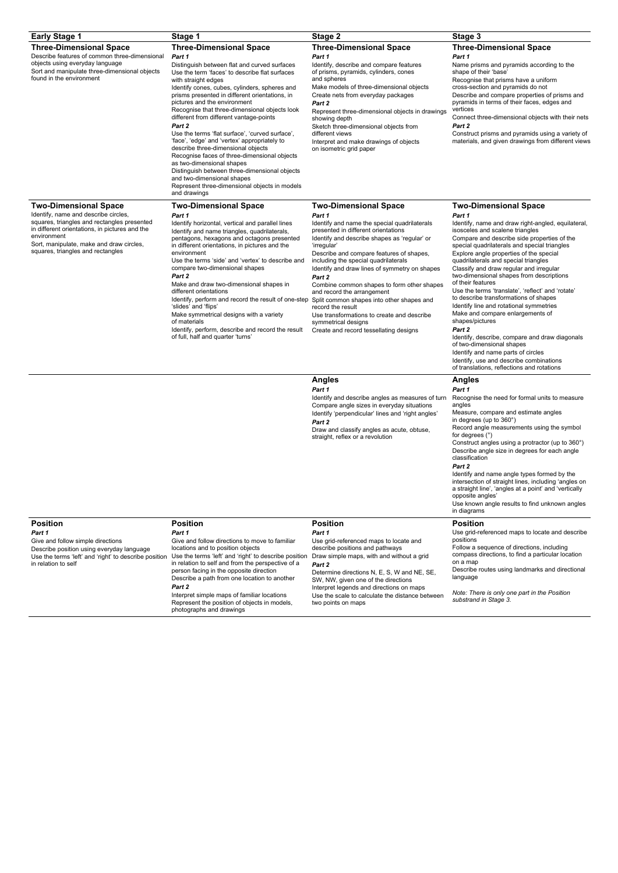| <b>Early Stage 1</b>                                                                                                                                                                                                                                                  | Stage 1                                                                                                                                                                                                                                                                                                                                                                                                                                                                                                                                                                                                                                                                                                                                                                          | Stage 2                                                                                                                                                                                                                                                                                                                                                                                                                                                                                                                                                                                                  | Stage 3                                                                                                                                                                                                                                                                                                                                                                                                                                                                                                                                                                                                                                                                                                                                                                                                                                               |
|-----------------------------------------------------------------------------------------------------------------------------------------------------------------------------------------------------------------------------------------------------------------------|----------------------------------------------------------------------------------------------------------------------------------------------------------------------------------------------------------------------------------------------------------------------------------------------------------------------------------------------------------------------------------------------------------------------------------------------------------------------------------------------------------------------------------------------------------------------------------------------------------------------------------------------------------------------------------------------------------------------------------------------------------------------------------|----------------------------------------------------------------------------------------------------------------------------------------------------------------------------------------------------------------------------------------------------------------------------------------------------------------------------------------------------------------------------------------------------------------------------------------------------------------------------------------------------------------------------------------------------------------------------------------------------------|-------------------------------------------------------------------------------------------------------------------------------------------------------------------------------------------------------------------------------------------------------------------------------------------------------------------------------------------------------------------------------------------------------------------------------------------------------------------------------------------------------------------------------------------------------------------------------------------------------------------------------------------------------------------------------------------------------------------------------------------------------------------------------------------------------------------------------------------------------|
| <b>Three-Dimensional Space</b><br>Describe features of common three-dimensional<br>objects using everyday language<br>Sort and manipulate three-dimensional objects<br>found in the environment                                                                       | <b>Three-Dimensional Space</b><br>Part 1<br>Distinguish between flat and curved surfaces<br>Use the term 'faces' to describe flat surfaces<br>with straight edges<br>Identify cones, cubes, cylinders, spheres and<br>prisms presented in different orientations, in<br>pictures and the environment<br>Recognise that three-dimensional objects look<br>different from different vantage-points<br>Part 2<br>Use the terms 'flat surface', 'curved surface',<br>'face', 'edge' and 'vertex' appropriately to<br>describe three-dimensional objects<br>Recognise faces of three-dimensional objects<br>as two-dimensional shapes<br>Distinguish between three-dimensional objects<br>and two-dimensional shapes<br>Represent three-dimensional objects in models<br>and drawings | <b>Three-Dimensional Space</b><br>Part 1<br>Identify, describe and compare features<br>of prisms, pyramids, cylinders, cones<br>and spheres<br>Make models of three-dimensional objects<br>Create nets from everyday packages<br>Part 2<br>Represent three-dimensional objects in drawings<br>showing depth<br>Sketch three-dimensional objects from<br>different views<br>Interpret and make drawings of objects<br>on isometric grid paper                                                                                                                                                             | <b>Three-Dimensional Space</b><br>Part 1<br>Name prisms and pyramids according to the<br>shape of their 'base'<br>Recognise that prisms have a uniform<br>cross-section and pyramids do not<br>Describe and compare properties of prisms and<br>pyramids in terms of their faces, edges and<br>vertices<br>Connect three-dimensional objects with their nets<br>Part 2<br>Construct prisms and pyramids using a variety of<br>materials, and given drawings from different views                                                                                                                                                                                                                                                                                                                                                                      |
| <b>Two-Dimensional Space</b><br>Identify, name and describe circles,<br>squares, triangles and rectangles presented<br>in different orientations, in pictures and the<br>environment<br>Sort, manipulate, make and draw circles,<br>squares, triangles and rectangles | <b>Two-Dimensional Space</b><br>Part 1<br>Identify horizontal, vertical and parallel lines<br>Identify and name triangles, quadrilaterals,<br>pentagons, hexagons and octagons presented<br>in different orientations, in pictures and the<br>environment<br>Use the terms 'side' and 'vertex' to describe and<br>compare two-dimensional shapes<br>Part 2<br>Make and draw two-dimensional shapes in<br>different orientations<br>Identify, perform and record the result of one-step<br>'slides' and 'flips'<br>Make symmetrical designs with a variety<br>of materials<br>Identify, perform, describe and record the result<br>of full, half and quarter 'turns'                                                                                                              | <b>Two-Dimensional Space</b><br>Part 1<br>Identify and name the special quadrilaterals<br>presented in different orientations<br>Identify and describe shapes as 'regular' or<br>'irregular'<br>Describe and compare features of shapes,<br>including the special quadrilaterals<br>Identify and draw lines of symmetry on shapes<br>Part 2<br>Combine common shapes to form other shapes<br>and record the arrangement<br>Split common shapes into other shapes and<br>record the result<br>Use transformations to create and describe<br>symmetrical designs<br>Create and record tessellating designs | <b>Two-Dimensional Space</b><br>Part 1<br>Identify, name and draw right-angled, equilateral,<br>isosceles and scalene triangles<br>Compare and describe side properties of the<br>special quadrilaterals and special triangles<br>Explore angle properties of the special<br>quadrilaterals and special triangles<br>Classify and draw regular and irregular<br>two-dimensional shapes from descriptions<br>of their features<br>Use the terms 'translate', 'reflect' and 'rotate'<br>to describe transformations of shapes<br>Identify line and rotational symmetries<br>Make and compare enlargements of<br>shapes/pictures<br>Part 2<br>Identify, describe, compare and draw diagonals<br>of two-dimensional shapes<br>Identify and name parts of circles<br>Identify, use and describe combinations<br>of translations, reflections and rotations |
|                                                                                                                                                                                                                                                                       |                                                                                                                                                                                                                                                                                                                                                                                                                                                                                                                                                                                                                                                                                                                                                                                  | <b>Angles</b><br>Part 1<br>Identify and describe angles as measures of turn<br>Compare angle sizes in everyday situations<br>Identify 'perpendicular' lines and 'right angles'<br>Part 2<br>Draw and classify angles as acute, obtuse,<br>straight, reflex or a revolution                                                                                                                                                                                                                                                                                                                               | <b>Angles</b><br>Part 1<br>Recognise the need for formal units to measure<br>angles<br>Measure, compare and estimate angles<br>in degrees (up to 360°)<br>Record angle measurements using the symbol<br>for degrees $(°)$<br>Construct angles using a protractor (up to 360°)<br>Describe angle size in degrees for each angle<br>classification<br>Part 2<br>Identify and name angle types formed by the<br>intersection of straight lines, including 'angles on<br>a straight line', 'angles at a point' and 'vertically<br>opposite angles'<br>Use known angle results to find unknown angles<br>in diagrams                                                                                                                                                                                                                                       |
| <b>Position</b><br>Part 1<br>Give and follow simple directions<br>Describe position using everyday language<br>Use the terms 'left' and 'right' to describe position<br>in relation to self                                                                           | <b>Position</b><br>Part 1<br>Give and follow directions to move to familiar<br>locations and to position objects<br>Use the terms 'left' and 'right' to describe position<br>in relation to self and from the perspective of a<br>person facing in the opposite direction<br>Describe a path from one location to another<br>Part 2<br>Interpret simple maps of familiar locations<br>Represent the position of objects in models,<br>photographs and drawings                                                                                                                                                                                                                                                                                                                   | <b>Position</b><br>Part 1<br>Use grid-referenced maps to locate and<br>describe positions and pathways<br>Draw simple maps, with and without a grid<br>Part 2<br>Determine directions N, E, S, W and NE, SE,<br>SW, NW, given one of the directions<br>Interpret legends and directions on maps<br>Use the scale to calculate the distance between<br>two points on maps                                                                                                                                                                                                                                 | <b>Position</b><br>Use grid-referenced maps to locate and describe<br>positions<br>Follow a sequence of directions, including<br>compass directions, to find a particular location<br>on a map<br>Describe routes using landmarks and directional<br>language<br>Note: There is only one part in the Position<br>substrand in Stage 3.                                                                                                                                                                                                                                                                                                                                                                                                                                                                                                                |